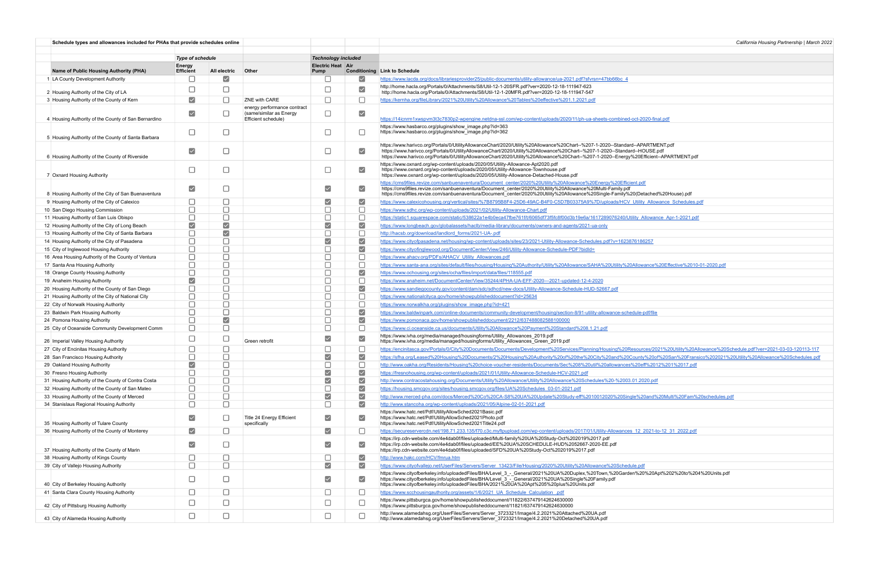| Schedule types and allowances included for PHAs that provide schedules online   |                                |                           |                                                |                                  |                                | California Housing Partnership   March 2022                                                                                                                                                                                                                                                                                                                                                              |
|---------------------------------------------------------------------------------|--------------------------------|---------------------------|------------------------------------------------|----------------------------------|--------------------------------|----------------------------------------------------------------------------------------------------------------------------------------------------------------------------------------------------------------------------------------------------------------------------------------------------------------------------------------------------------------------------------------------------------|
|                                                                                 |                                |                           |                                                |                                  |                                |                                                                                                                                                                                                                                                                                                                                                                                                          |
| <b>Type of schedule</b>                                                         |                                |                           |                                                | <b>Technology included</b>       |                                |                                                                                                                                                                                                                                                                                                                                                                                                          |
| Name of Public Housing Authority (PHA)                                          | Energy<br><b>Efficient</b>     | All electric              | <b>Other</b>                                   | <b>Electric Heat Air</b><br>Pump |                                | <b>Conditioning Link to Schedule</b>                                                                                                                                                                                                                                                                                                                                                                     |
| 1 LA County Development Authority                                               |                                | ☑                         |                                                |                                  | $\vert\mathbf{v}\vert$         | https://www.lacda.org/docs/librariesprovider25/public-documents/utility-allowance/ua-2021.pdf?sfvrsn=47bb66bc_4                                                                                                                                                                                                                                                                                          |
|                                                                                 |                                | г                         |                                                |                                  | $\blacktriangledown$           | http://home.hacla.org/Portals/0/Attachments/S8/Util-12-1-20SFR.pdf?ver=2020-12-18-111947-623                                                                                                                                                                                                                                                                                                             |
| 2 Housing Authority of the City of LA                                           | $\blacktriangledown$           | П                         | ZNE with CARE                                  | □                                | $\Box$                         | http://home.hacla.org/Portals/0/Attachments/S8/Util-12-1-20MFR.pdf?ver=2020-12-18-111947-547                                                                                                                                                                                                                                                                                                             |
| 3 Housing Authority of the County of Kern                                       |                                |                           | energy performance contract                    |                                  |                                | https://kernha.org/fileLibrary/2021%20Utility%20Allowance%20Tables%20effective%201.1.2021.pdf                                                                                                                                                                                                                                                                                                            |
| 4 Housing Authority of the County of San Bernardino                             | $\blacktriangledown$           | □                         | (same/similar as Energy<br>Efficient schedule) | $\Box$                           | $\blacktriangledown$           | https://14icnrm1xwspvm3t3c7830p2-wpengine.netdna-ssl.com/wp-content/uploads/2020/11/ph-ua-sheets-combined-oct-2020-final.pdf                                                                                                                                                                                                                                                                             |
| 5 Housing Authority of the County of Santa Barbara                              | □                              | $\Box$                    |                                                | □                                | □                              | https://www.hasbarco.org/plugins/show_image.php?id=363<br>https://www.hasbarco.org/plugins/show_image.php?id=362                                                                                                                                                                                                                                                                                         |
| 6 Housing Authority of the County of Riverside                                  | $\blacktriangledown$           | $\Box$                    |                                                | $\Box$                           | $\blacktriangledown$           | https://www.harivco.org/Portals/0/UtilityAllowanceChart/2020/Utility%20Allowance%20Chart--%207-1-2020--Standard--APARTMENT.pdf<br>https://www.harivco.org/Portals/0/UtilityAllowanceChart/2020/Utility%20Allowance%20Chart--%207-1-2020--Standard--HOUSE.pdf<br>https://www.harivco.org/Portals/0/UtilityAllowanceChart/2020/Utility%20Allowance%20Chart--%207-1-2020--Energy%20Efficient--APARTMENT.pdf |
| 7 Oxnard Housing Authority                                                      | □                              | $\Box$                    |                                                | □                                | $\blacktriangledown$           | https://www.oxnard.org/wp-content/uploads/2020/05/Utility-Allowance-Apt2020.pdf<br>https://www.oxnard.org/wp-content/uploads/2020/05/Utility-Allowance-Townhouse.pdf<br>https://www.oxnard.org/wp-content/uploads/2020/05/Utility-Allowance-Detached-House.pdf                                                                                                                                           |
| 8 Housing Authority of the City of San Buenaventura                             | $\blacktriangledown$           | $\Box$                    |                                                | $\blacktriangledown$             | $\blacktriangledown$           | https://cms9files.revize.com/sanbuenaventura/Document_center/2020%20Utility%20Allowance%20Energy%20Efficient.pdf<br>https://cms9files.revize.com/sanbuenaventura/Document_center/2020%20Utility%20Allowance%20Multi-Family.pdf<br>https://cms9files.revize.com/sanbuenaventura/Document_center/2020%20Utility%20Allowance%20Single-Family%20(Detached%20House).pdf                                       |
| 9 Housing Authority of the City of Calexico                                     | $\sqcup$                       | □                         |                                                | $\blacktriangledown$             | $\vert \checkmark \vert$       | https://www.calexicohousing.org/vertical/sites/%7B8795B8F4-25D6-49AC-B4F0-C5D7B03375A9%7D/uploads/HCV_Utility_Allowance_Schedules.pdf                                                                                                                                                                                                                                                                    |
| 10 San Diego Housing Commission                                                 |                                | $\Box$                    |                                                |                                  | □                              | https://www.sdhc.org/wp-content/uploads/2021/02/Utility-Allowance-Chart.pdf                                                                                                                                                                                                                                                                                                                              |
| 11 Housing Authority of San Luis Obispo                                         | П                              | $\Box$                    |                                                | $\Box$                           | $\Box$                         | https://static1.squarespace.com/static/538622a1e4b0eca47fbe761f/t/6065df73f5fc8f00d3b19e6a/1617289076240/Utility Allowance Apr-1-2021.pdf                                                                                                                                                                                                                                                                |
| 12 Housing Authority of the City of Long Beach                                  | $\blacktriangledown$           | $\blacktriangledown$      |                                                | $\blacktriangledown$             | $\blacktriangledown$           | https://www.longbeach.gov/globalassets/haclb/media-library/documents/owners-and-agents/2021-ua-only                                                                                                                                                                                                                                                                                                      |
| 13 Housing Authority of the City of Santa Barbara                               |                                | $\overline{\smash{\vee}}$ |                                                |                                  | $\Box$                         | http://hacsb.org/download/landlord_forms/2021-UA-.pdf                                                                                                                                                                                                                                                                                                                                                    |
| 14 Housing Authority of the City of Pasadena                                    |                                | $\Box$                    |                                                | $\blacktriangledown$             | $\blacktriangledown$           | https://www.cityofpasadena.net/housing/wp-content/uploads/sites/23/2021-Utility-Allowance-Schedules.pdf?v=1623876186257                                                                                                                                                                                                                                                                                  |
| 15 City of Inglewood Housing Authority                                          |                                | $\Box$                    |                                                |                                  | $\blacktriangledown$           | https://www.cityofinglewood.org/DocumentCenter/View/246/Utility-Allowance-Schedule-PDF?bidld=                                                                                                                                                                                                                                                                                                            |
| 16 Area Housing Authority of the County of Ventura                              |                                | $\Box$                    |                                                |                                  | □                              | https://www.ahacv.org/PDFs/AHACV Utility Allowances.pdf                                                                                                                                                                                                                                                                                                                                                  |
| 17 Santa Ana Housing Authority                                                  |                                | $\Box$                    |                                                |                                  | $\Box$                         | https://www.santa-ana.org/sites/default/files/housing/Housing%20Authority/Utility%20Allowance/SAHA%20Utility%20Allowance%20Effective%2010-01-2020.pdf                                                                                                                                                                                                                                                    |
| 18 Orange County Housing Authority                                              | $\Box$<br>$\blacktriangledown$ | $\Box$<br>$\Box$          |                                                | $\Box$<br>$\Box$                 | $\blacktriangledown$           | https://www.ochousing.org/sites/ocha/files/import/data/files/118555.pdf                                                                                                                                                                                                                                                                                                                                  |
| 19 Anaheim Housing Authority<br>20 Housing Authority of the County of San Diego |                                | $\Box$                    |                                                |                                  | $\Box$<br>$\blacktriangledown$ | https://www.anaheim.net/DocumentCenter/View/35244/4PHA-UA-EFF-2020---2021-updated-12-4-2020<br>https://www.sandiegocounty.gov/content/dam/sdc/sdhcd/new-docs/Utility-Allowance-Schedule-HUD-52667.pdf                                                                                                                                                                                                    |
| 21 Housing Authority of the City of National City                               |                                | $\Box$                    |                                                |                                  | $\Box$                         | https://www.nationalcityca.gov/home/showpublisheddocument?id=25634                                                                                                                                                                                                                                                                                                                                       |
| 22 City of Norwalk Housing Authority                                            |                                | $\Box$                    |                                                |                                  | $\Box$                         | https://www.norwalkha.org/plugins/show_image.php?id=421                                                                                                                                                                                                                                                                                                                                                  |
| 23 Baldwin Park Housing Authority                                               |                                | $\Box$                    |                                                |                                  | $\blacktriangledown$           | https://www.baldwinpark.com/online-documents/community-development/housing/section-8/91-utility-allowance-schedule-pdf/file                                                                                                                                                                                                                                                                              |
| 24 Pomona Housing Authority                                                     | $\Box$                         | $\blacktriangledown$      |                                                | $\Box$                           | $\blacktriangledown$           | https://www.pomonaca.gov/home/showpublisheddocument/2212/637488082588100000                                                                                                                                                                                                                                                                                                                              |
| 25 City of Oceanside Community Development Comm                                 | $\overline{\phantom{a}}$       | $\Box$                    |                                                | П                                | $\Box$                         | https://www.ci.oceanside.ca.us/documents/Utility%20Allowance%20Payment%20Standard%208.1.21.pdf                                                                                                                                                                                                                                                                                                           |
| 26 Imperial Valley Housing Authority                                            | ⊔                              | $\Box$                    | Green retrofit                                 | $\blacktriangledown$             | $\blacktriangledown$           | https://www.ivha.org/media/managed/housingforms/Utility_Allowances_2019.pdf<br>https://www.ivha.org/media/managed/housingforms/Utility_Allowances_Green_2019.pdf                                                                                                                                                                                                                                         |
| 27 City of Encinitas Housing Authority                                          |                                | □                         |                                                | $\sim$                           | $\overline{\phantom{a}}$       | https://encinitasca.gov/Portals/0/City%20Documents/Documents/Development%20Services/Planning/Housing%20Resources/2021%20Utility%20Allowance%20Schedule.pdf?ver=2021-03-03-120113-117                                                                                                                                                                                                                     |
| 28 San Francisco Housing Authority                                              | $\Box$                         | $\Box$                    |                                                | $\vert\bm{\vee}\vert$<br>$\Box$  | $\blacktriangledown$           | https://sfha.org/Leased%20Housing%20Documents/2%20Housing%20Authority%20of%20the%20City%20and%20County%20of%20San%20Fransico%202021%20Utility%20Allowance%20Schedules.pdf                                                                                                                                                                                                                                |
| 29 Oakland Housing Authority<br>30 Fresno Housing Authority                     | $\blacktriangledown$           | $\Box$<br>$\Box$          |                                                | $\blacktriangledown$             | $\Box$<br>$\blacktriangledown$ | http://www.oakha.org/Residents/Housing%20choice-voucher-residents/Documents/Sec%208%20util%20allowances%20eff%2012%201%2017.pdf                                                                                                                                                                                                                                                                          |
| 31 Housing Authority of the County of Contra Costa                              |                                | $\Box$                    |                                                | $\blacktriangledown$             | $\blacktriangledown$           | https://fresnohousing.org/wp-content/uploads/2021/01/Utility-Allowance-Schedule-HCV-2021.pdf<br>http://www.contracostahousing.org/Documents/Utility%20Allowance/Utility%20Allowance%20Schedules%20-%2003.01.2020.pdf                                                                                                                                                                                     |
| 32 Housing Authority of the County of San Mateo                                 | $\Box$                         | $\Box$                    |                                                |                                  | $\blacktriangledown$           | https://housing.smcgov.org/sites/housing.smcgov.org/files/UA%20Schedules 03-01-2021.pdf                                                                                                                                                                                                                                                                                                                  |
| 33 Housing Authority of the County of Merced                                    |                                | $\Box$                    |                                                | $\blacktriangledown$             | $\blacktriangledown$           | http://www.merced-pha.com/docs/Merced%20Co%20CA-S8%20UA%20Update%20Study-eff%2010012020%20Single%20and%20Multi%20Fam%20schedules.pdf                                                                                                                                                                                                                                                                     |
| 34 Stanislaus Regional Housing Authority                                        | □                              | $\Box$                    |                                                | $\Box$                           | $\blacktriangledown$           | http://www.stancoha.org/wp-content/uploads/2021/05/Alpine-02-01-2021.pdf                                                                                                                                                                                                                                                                                                                                 |
| 35 Housing Authority of Tulare County                                           | $\blacktriangledown$           |                           | Title 24 Energy Efficient<br>specifically      | $\blacktriangledown$             | $\blacktriangledown$           | https://www.hatc.net/Pdf/UtilityAllowSched2021Basic.pdf<br>https://www.hatc.net/Pdf/UtilityAllowSched2021Photo.pdf<br>https://www.hatc.net/Pdf/UtilityAllowSched2021Title24.pdf                                                                                                                                                                                                                          |
| 36 Housing Authority of the County of Monterey                                  | $\blacktriangledown$           | □                         |                                                | $\blacktriangledown$             |                                | https://secureservercdn.net/198.71.233.135/f70.c3c.myftpupload.com/wp-content/uploads/2017/01/Utility-Allowances 12 2021-to-12 31 2022.pdf                                                                                                                                                                                                                                                               |
| 37 Housing Authority of the County of Marin                                     | $\blacktriangledown$           | $\Box$                    |                                                | $\blacktriangledown$             | $\vert\blacktriangledown\vert$ | https://irp.cdn-website.com/4e4dab0f/files/uploaded/Multi-family%20UA%20Study-Oct%202019%2017.pdf<br>https://irp.cdn-website.com/4e4dab0f/files/uploaded/EE%20UA%20SCHEDULE-HUD%2052667-2020-EE.pdf<br>https://irp.cdn-website.com/4e4dab0f/files/uploaded/SFD%20UA%20Study-Oct%202019%2017.pdf                                                                                                          |
| 38 Housing Authority of Kings County                                            |                                | ⊔                         |                                                | ப                                | $\vert\mathbf{v}\vert$         | http://www.hakc.com/HCV/fmrua.htm                                                                                                                                                                                                                                                                                                                                                                        |
| 39 City of Vallejo Housing Authority                                            | $\Box$                         | $\Box$                    |                                                | $\blacktriangledown$             | $\blacktriangledown$           | https://www.cityofvallejo.net/UserFiles/Servers/Server 13423/File/Housing/2020%20Utility%20Allowance%20Schedule.pdf                                                                                                                                                                                                                                                                                      |
| 40 City of Berkeley Housing Authority                                           | $\Box$                         | $\Box$                    |                                                | $\blacktriangledown$             | $\blacktriangledown$           | https://www.cityofberkeley.info/uploadedFiles/BHA/Level_3_-_General/2021%20UA%20Duplex,%20Town,%20Garden%20%20Apt%202%20to%204%20Units.pdf<br>https://www.cityofberkeley.info/uploadedFiles/BHA/Level_3_-_General/2021%20UA%20Single%20Family.pdf<br>https://www.cityofberkeley.info/uploadedFiles/BHA/2021%20UA%20Apt%205%20plus%20Units.pdf                                                            |
| 41 Santa Clara County Housing Authority                                         | ⊔                              | □                         |                                                | ⊔                                | ⊔                              | https://www.scchousingauthority.org/assets/1/6/2021 UA Schedule Calculation .pdf                                                                                                                                                                                                                                                                                                                         |
| 42 City of Pittsburg Housing Authority                                          | ⊔                              | $\Box$                    |                                                | □                                |                                | https://www.pittsburgca.gov/home/showpublisheddocument/11822/637479142624630000<br>https://www.pittsburgca.gov/home/showpublisheddocument/11821/637479142624630000                                                                                                                                                                                                                                       |
| 43 City of Alameda Housing Authority                                            | $\Box$                         | $\Box$                    |                                                | $\Box$                           |                                | http://www.alamedahsg.org/UserFiles/Servers/Server_3723321/Image/4.2.2021%20Attached%20UA.pdf<br>http://www.alamedahsg.org/UserFiles/Servers/Server_3723321/Image/4.2.2021%20Detached%20UA.pdf                                                                                                                                                                                                           |

| California Housing Partnership   March 2022                                                                                                         |
|-----------------------------------------------------------------------------------------------------------------------------------------------------|
|                                                                                                                                                     |
|                                                                                                                                                     |
|                                                                                                                                                     |
|                                                                                                                                                     |
|                                                                                                                                                     |
|                                                                                                                                                     |
| 2020-final.pdf                                                                                                                                      |
|                                                                                                                                                     |
|                                                                                                                                                     |
| PARTMENT.pdf                                                                                                                                        |
| <b>IOUSE.pdf</b><br>Efficient--APARTMENT.pdf                                                                                                        |
|                                                                                                                                                     |
|                                                                                                                                                     |
| odf                                                                                                                                                 |
| etached%20House).pdf                                                                                                                                |
| ity_Allowance_Schedules.pdf                                                                                                                         |
| Allowance Apr-1-2021.pdf                                                                                                                            |
|                                                                                                                                                     |
|                                                                                                                                                     |
| 86257                                                                                                                                               |
|                                                                                                                                                     |
| wance%20Effective%2010-01-2020.pdf                                                                                                                  |
|                                                                                                                                                     |
|                                                                                                                                                     |
|                                                                                                                                                     |
|                                                                                                                                                     |
| e-pdf/file                                                                                                                                          |
|                                                                                                                                                     |
|                                                                                                                                                     |
|                                                                                                                                                     |
| urces/2021%20Utility%20Allowance%20Schedule.pdf?ver=2021-03-03-120113-117<br>tty%20of%20San%20Fransico%202021%20Utility%20Allowance%20Schedules.pdf |
| leff%2012%201%2017.pdf                                                                                                                              |
|                                                                                                                                                     |
| 2020.pdf                                                                                                                                            |
| 20and%20Multi%20Fam%20schedules.pdf                                                                                                                 |
|                                                                                                                                                     |
|                                                                                                                                                     |
|                                                                                                                                                     |
| 2021-to-12_31_2022.pdf                                                                                                                              |
|                                                                                                                                                     |
|                                                                                                                                                     |
| <u>ndf</u>                                                                                                                                          |
| 20%20Apt%202%20to%204%20Units.pdf                                                                                                                   |
|                                                                                                                                                     |
|                                                                                                                                                     |
|                                                                                                                                                     |
|                                                                                                                                                     |
|                                                                                                                                                     |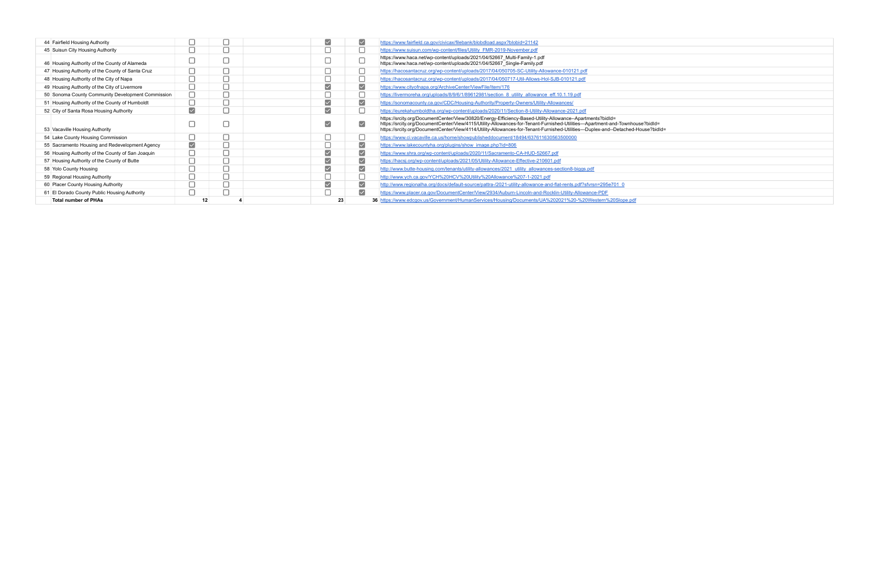| 44 Fairfield Housing Authority                    |                       |  | $\blacktriangledown$                        | $\vert\mathcal{\mathcal{\mathcal{L}}}\vert$ | https://www.fairfield.ca.gov/civicax/filebank/blobdload.aspx?blobid=21142                                                                                                                                                                                                                                                                                                        |
|---------------------------------------------------|-----------------------|--|---------------------------------------------|---------------------------------------------|----------------------------------------------------------------------------------------------------------------------------------------------------------------------------------------------------------------------------------------------------------------------------------------------------------------------------------------------------------------------------------|
| 45 Suisun City Housing Authority                  |                       |  |                                             |                                             | https://www.suisun.com/wp-content/files/Utility FMR-2019-November.pdf                                                                                                                                                                                                                                                                                                            |
| 46 Housing Authority of the County of Alameda     |                       |  |                                             |                                             | https://www.haca.net/wp-content/uploads/2021/04/52667 Multi-Family-1.pdf<br>https://www.haca.net/wp-content/uploads/2021/04/52667 Single-Family.pdf                                                                                                                                                                                                                              |
| 47 Housing Authority of the County of Santa Cruz  |                       |  |                                             |                                             | https://hacosantacruz.org/wp-content/uploads/2017/04/050705-SC-Utility-Allowance-010121.pdf                                                                                                                                                                                                                                                                                      |
| 48 Housing Authority of the City of Napa          |                       |  |                                             |                                             | https://hacosantacruz.org/wp-content/uploads/2017/04/050717-Util-Allows-Hol-SJB-010121.pdf                                                                                                                                                                                                                                                                                       |
| 49 Housing Authority of the City of Livermore     |                       |  | $\blacktriangledown$                        | $\blacktriangledown$                        | https://www.cityofnapa.org/ArchiveCenter/ViewFile/Item/176                                                                                                                                                                                                                                                                                                                       |
| 50 Sonoma County Community Development Commission |                       |  |                                             |                                             | https://livermoreha.org/uploads/8/9/6/1/89612981/section 8 utility allowance eff.10.1.19.pdf                                                                                                                                                                                                                                                                                     |
| 51 Housing Authority of the County of Humboldt    |                       |  | $\blacktriangledown$                        | $\blacktriangledown$                        | https://sonomacounty.ca.gov/CDC/Housing-Authority/Property-Owners/Utility-Allowances/                                                                                                                                                                                                                                                                                            |
| 52 City of Santa Rosa Housing Authority           | $\blacktriangledown$  |  | $\blacktriangledown$                        |                                             | https://eurekahumboldtha.org/wp-content/uploads/2020/11/Section-8-Utility-Allowance-2021.pdf                                                                                                                                                                                                                                                                                     |
| 53 Vacaville Housing Authority                    |                       |  | $\blacktriangledown$                        | $\blacktriangledown$                        | https://srcity.org/DocumentCenter/View/30820/Energy-Efficiency-Based-Utility-Allowance--Apartments?bidld=<br>https://srcity.org/DocumentCenter/View/4115/Utility-Allowances-for-Tenant-Furnished-Utilities---Apartment-and-Townhouse?bidld=<br>https://srcity.org/DocumentCenter/View/4114/Utility-Allowances-for-Tenant-Furnished-Utilities---Duplex-and--Detached-House?bidld= |
| 54 Lake County Housing Commission                 |                       |  |                                             |                                             | https://www.ci.vacaville.ca.us/home/showpublisheddocument/18494/637611630563500000                                                                                                                                                                                                                                                                                               |
| 55 Sacramento Housing and Redevelopment Agency    | $\blacktriangleright$ |  |                                             | $\blacktriangledown$                        | https://www.lakecountyha.org/plugins/show_image.php?id=806                                                                                                                                                                                                                                                                                                                       |
| 56 Housing Authority of the County of San Joaquin |                       |  | $\blacktriangledown$                        | $\blacktriangledown$                        | https://www.shra.org/wp-content/uploads/2020/11/Sacramento-CA-HUD-52667.pdf                                                                                                                                                                                                                                                                                                      |
| 57 Housing Authority of the County of Butte       |                       |  | $\blacktriangledown$                        | $\blacktriangledown$                        | https://hacsj.org/wp-content/uploads/2021/05/Utility-Allowance-Effective-210601.pdf                                                                                                                                                                                                                                                                                              |
| 58 Yolo County Housing                            |                       |  | $\vert\mathcal{\mathcal{\mathcal{L}}}\vert$ | ⊻                                           | http://www.butte-housing.com/tenants/utility-allowances/2021_utility_allowances-section8-biggs.pdf                                                                                                                                                                                                                                                                               |
| 59 Regional Housing Authority                     |                       |  |                                             |                                             | http://www.ych.ca.gov/YCH%20HCV%20Utility%20Allowance%207-1-2021.pdf                                                                                                                                                                                                                                                                                                             |
| 60 Placer County Housing Authority                |                       |  | $\blacktriangledown$                        | $\vert\checkmark\vert$                      | http://www.regionalha.org/docs/default-source/pattra-/2021-utility-allowance-and-flat-rents.pdf?sfvrsn=295e701_0                                                                                                                                                                                                                                                                 |
| 61 El Dorado County Public Housing Authority      |                       |  |                                             | $\blacktriangledown$                        | https://www.placer.ca.gov/DocumentCenter/View/2934/Auburn-Lincoln-and-Rocklin-Utility-Allowance-PDF                                                                                                                                                                                                                                                                              |
| <b>Total number of PHAs</b>                       | 12                    |  | 23                                          |                                             | 36 https://www.edcgov.us/Government/HumanServices/Housing/Documents/UA%202021%20-%20Western%20Slope.pdf                                                                                                                                                                                                                                                                          |

| se?bidId=<br>louse?bidId= |
|---------------------------|
|                           |
|                           |
|                           |
|                           |
|                           |
|                           |
|                           |
|                           |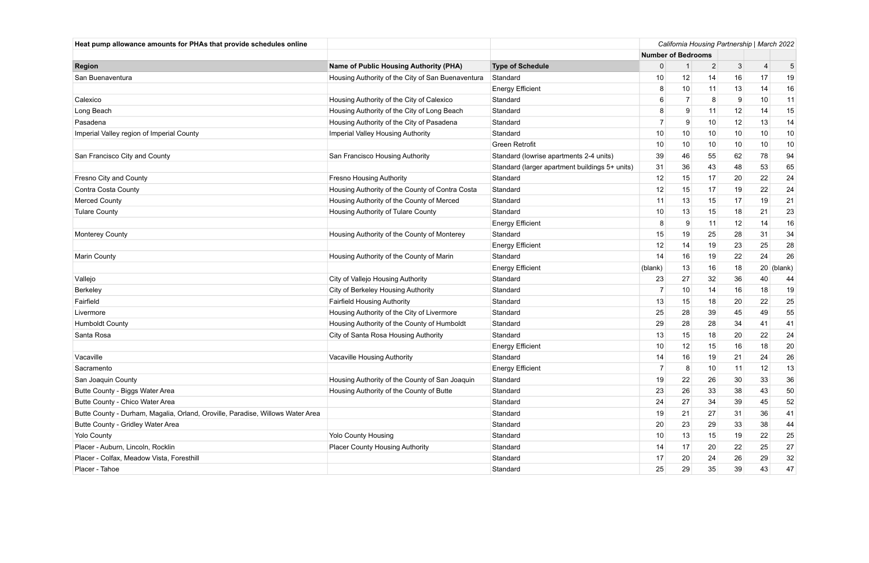| Heat pump allowance amounts for PHAs that provide schedules online             |                                                   |                                                | California Housing Partnership   March 2022 |    |                |    |                |         |  |
|--------------------------------------------------------------------------------|---------------------------------------------------|------------------------------------------------|---------------------------------------------|----|----------------|----|----------------|---------|--|
|                                                                                |                                                   |                                                | <b>Number of Bedrooms</b>                   |    |                |    |                |         |  |
| <b>Region</b>                                                                  | <b>Name of Public Housing Authority (PHA)</b>     | <b>Type of Schedule</b>                        | 0                                           |    | $\overline{2}$ | 3  | $\overline{4}$ | 5       |  |
| San Buenaventura                                                               | Housing Authority of the City of San Buenaventura | Standard                                       | 10                                          | 12 | 14             | 16 | 17             | 19      |  |
|                                                                                |                                                   | <b>Energy Efficient</b>                        | 8                                           | 10 | 11             | 13 | 14             | 16      |  |
| Calexico                                                                       | Housing Authority of the City of Calexico         | Standard                                       | 6                                           | -7 | 8              | 9  | 10             | 11      |  |
| Long Beach                                                                     | Housing Authority of the City of Long Beach       | Standard                                       | 8                                           | 9  | 11             | 12 | 14             | 15      |  |
| Pasadena                                                                       | Housing Authority of the City of Pasadena         | Standard                                       |                                             | 9  | 10             | 12 | 13             | 14      |  |
| Imperial Valley region of Imperial County                                      | Imperial Valley Housing Authority                 | Standard                                       | 10                                          | 10 | 10             | 10 | 10             | 10      |  |
|                                                                                |                                                   | <b>Green Retrofit</b>                          | 10                                          | 10 | 10             | 10 | 10             | 10      |  |
| San Francisco City and County                                                  | San Francisco Housing Authority                   | Standard (lowrise apartments 2-4 units)        | 39                                          | 46 | 55             | 62 | 78             | 94      |  |
|                                                                                |                                                   | Standard (larger apartment buildings 5+ units) | 31                                          | 36 | 43             | 48 | 53             | 65      |  |
| Fresno City and County                                                         | <b>Fresno Housing Authority</b>                   | Standard                                       | 12                                          | 15 | 17             | 20 | 22             | 24      |  |
| Contra Costa County                                                            | Housing Authority of the County of Contra Costa   | Standard                                       | 12                                          | 15 | 17             | 19 | 22             | 24      |  |
| <b>Merced County</b>                                                           | Housing Authority of the County of Merced         | Standard                                       | 11                                          | 13 | 15             | 17 | 19             | 21      |  |
| <b>Tulare County</b>                                                           | Housing Authority of Tulare County                | Standard                                       | 10                                          | 13 | 15             | 18 | 21             | 23      |  |
|                                                                                |                                                   | <b>Energy Efficient</b>                        | 8                                           | 9  | 11             | 12 | 14             | 16      |  |
| <b>Monterey County</b>                                                         | Housing Authority of the County of Monterey       | Standard                                       | 15                                          | 19 | 25             | 28 | 31             | 34      |  |
|                                                                                |                                                   | <b>Energy Efficient</b>                        | 12                                          | 14 | 19             | 23 | 25             | 28      |  |
| <b>Marin County</b>                                                            | Housing Authority of the County of Marin          | Standard                                       | 14                                          | 16 | 19             | 22 | 24             | 26      |  |
|                                                                                |                                                   | <b>Energy Efficient</b>                        | (blank)                                     | 13 | 16             | 18 | 20             | (blank) |  |
| Vallejo                                                                        | City of Vallejo Housing Authority                 | Standard                                       | 23                                          | 27 | 32             | 36 | 40             | 44      |  |
| Berkeley                                                                       | City of Berkeley Housing Authority                | Standard                                       |                                             | 10 | 14             | 16 | 18             | 19      |  |
| Fairfield                                                                      | <b>Fairfield Housing Authority</b>                | Standard                                       | 13                                          | 15 | 18             | 20 | 22             | 25      |  |
| Livermore                                                                      | Housing Authority of the City of Livermore        | Standard                                       | 25                                          | 28 | 39             | 45 | 49             | 55      |  |
| <b>Humboldt County</b>                                                         | Housing Authority of the County of Humboldt       | Standard                                       | 29                                          | 28 | 28             | 34 | 41             | 41      |  |
| Santa Rosa                                                                     | City of Santa Rosa Housing Authority              | Standard                                       | 13                                          | 15 | 18             | 20 | 22             | 24      |  |
|                                                                                |                                                   | <b>Energy Efficient</b>                        | 10                                          | 12 | 15             | 16 | 18             | 20      |  |
| Vacaville                                                                      | Vacaville Housing Authority                       | Standard                                       | 14                                          | 16 | 19             | 21 | 24             | 26      |  |
| Sacramento                                                                     |                                                   | <b>Energy Efficient</b>                        | 7                                           | 8  | 10             | 11 | 12             | 13      |  |
| San Joaquin County                                                             | Housing Authority of the County of San Joaquin    | Standard                                       | 19                                          | 22 | 26             | 30 | 33             | 36      |  |
| Butte County - Biggs Water Area                                                | Housing Authority of the County of Butte          | Standard                                       | 23                                          | 26 | 33             | 38 | 43             | 50      |  |
| Butte County - Chico Water Area                                                |                                                   | Standard                                       | 24                                          | 27 | 34             | 39 | 45             | 52      |  |
| Butte County - Durham, Magalia, Orland, Oroville, Paradise, Willows Water Area |                                                   | Standard                                       | 19                                          | 21 | 27             | 31 | 36             | 41      |  |
| Butte County - Gridley Water Area                                              |                                                   | Standard                                       | 20                                          | 23 | 29             | 33 | 38             | 44      |  |
| <b>Yolo County</b>                                                             | <b>Yolo County Housing</b>                        | Standard                                       | 10                                          | 13 | 15             | 19 | 22             | 25      |  |
| Placer - Auburn, Lincoln, Rocklin                                              | <b>Placer County Housing Authority</b>            | Standard                                       | 14                                          | 17 | 20             | 22 | 25             | 27      |  |
| Placer - Colfax, Meadow Vista, Foresthill                                      |                                                   | Standard                                       | 17                                          | 20 | 24             | 26 | 29             | 32      |  |
| Placer - Tahoe                                                                 |                                                   | Standard                                       | 25                                          | 29 | 35             | 39 | 43             | 47      |  |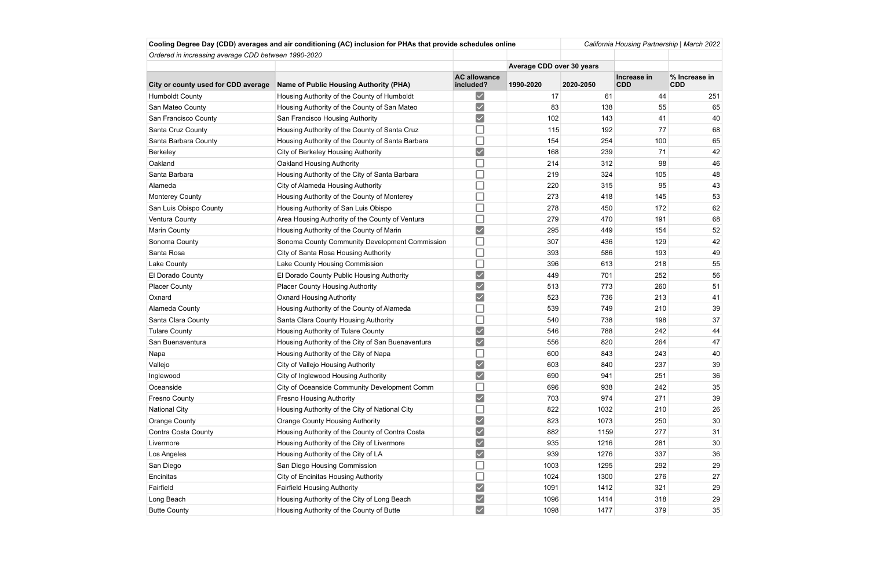|                                                     | Cooling Degree Day (CDD) averages and air conditioning (AC) inclusion for PHAs that provide schedules online |                                  |                           | California Housing Partnership   March 2022 |                           |                             |  |
|-----------------------------------------------------|--------------------------------------------------------------------------------------------------------------|----------------------------------|---------------------------|---------------------------------------------|---------------------------|-----------------------------|--|
| Ordered in increasing average CDD between 1990-2020 |                                                                                                              |                                  |                           |                                             |                           |                             |  |
|                                                     |                                                                                                              |                                  | Average CDD over 30 years |                                             |                           |                             |  |
| City or county used for CDD average                 | <b>Name of Public Housing Authority (PHA)</b>                                                                | <b>AC allowance</b><br>included? | 1990-2020                 | 2020-2050                                   | Increase in<br><b>CDD</b> | % Increase in<br><b>CDD</b> |  |
| <b>Humboldt County</b>                              | Housing Authority of the County of Humboldt                                                                  | $\vert\checkmark\vert$           | 17                        | 61                                          | 44                        | 251                         |  |
| San Mateo County                                    | Housing Authority of the County of San Mateo                                                                 | $\overline{\vee}$                | 83                        | 138                                         | 55                        | 65                          |  |
| San Francisco County                                | San Francisco Housing Authority                                                                              | $\blacktriangledown$             | 102                       | 143                                         | 41                        | 40                          |  |
| Santa Cruz County                                   | Housing Authority of the County of Santa Cruz                                                                |                                  | 115                       | 192                                         | 77                        | 68                          |  |
| Santa Barbara County                                | Housing Authority of the County of Santa Barbara                                                             |                                  | 154                       | 254                                         |                           | 100<br>65                   |  |
| Berkeley                                            | City of Berkeley Housing Authority                                                                           | $\blacktriangledown$             | 168                       | 239                                         | 71                        | 42                          |  |
| Oakland                                             | Oakland Housing Authority                                                                                    |                                  | 214                       | 312                                         | 98                        | 46                          |  |
| Santa Barbara                                       | Housing Authority of the City of Santa Barbara                                                               |                                  | 219                       | 324                                         | 105                       | 48                          |  |
| Alameda                                             | City of Alameda Housing Authority                                                                            |                                  | 220                       | 315                                         | 95                        | 43                          |  |
| <b>Monterey County</b>                              | Housing Authority of the County of Monterey                                                                  |                                  | 273                       | 418                                         | 145                       | 53                          |  |
| San Luis Obispo County                              | Housing Authority of San Luis Obispo                                                                         |                                  | 278                       | 450                                         | 172                       | 62                          |  |
| Ventura County                                      | Area Housing Authority of the County of Ventura                                                              |                                  | 279                       | 470                                         | 191                       | 68                          |  |
| Marin County                                        | Housing Authority of the County of Marin                                                                     | $\vee$                           | 295                       | 449                                         | 154                       | 52                          |  |
| Sonoma County                                       | Sonoma County Community Development Commission                                                               |                                  | 307                       | 436                                         | 129                       | 42                          |  |
| Santa Rosa                                          | City of Santa Rosa Housing Authority                                                                         |                                  | 393                       | 586                                         | 193                       | 49                          |  |
| Lake County                                         | Lake County Housing Commission                                                                               |                                  | 396                       | 613                                         | 218                       | 55                          |  |
| El Dorado County                                    | El Dorado County Public Housing Authority                                                                    | $\blacktriangledown$             | 449                       | 701                                         | 252                       | 56                          |  |
| <b>Placer County</b>                                | <b>Placer County Housing Authority</b>                                                                       | $\overline{\checkmark}$          | 513                       | 773                                         | 260                       | 51                          |  |
| Oxnard                                              | <b>Oxnard Housing Authority</b>                                                                              | $\blacktriangledown$             | 523                       | 736                                         | 213                       | 41                          |  |
| Alameda County                                      | Housing Authority of the County of Alameda                                                                   |                                  | 539                       | 749                                         | 210                       | 39                          |  |
| Santa Clara County                                  | Santa Clara County Housing Authority                                                                         |                                  | 540                       | 738                                         | 198                       | 37                          |  |
| <b>Tulare County</b>                                | Housing Authority of Tulare County                                                                           | $\blacktriangledown$             | 546                       | 788                                         | 242                       | 44                          |  |
| San Buenaventura                                    | Housing Authority of the City of San Buenaventura                                                            | $\blacktriangledown$             | 556                       | 820                                         | 264                       | 47                          |  |
| Napa                                                | Housing Authority of the City of Napa                                                                        |                                  | 600                       | 843                                         | 243                       | 40                          |  |
| Vallejo                                             | City of Vallejo Housing Authority                                                                            | $\blacktriangledown$             | 603                       | 840                                         | 237                       | 39                          |  |
| Inglewood                                           | City of Inglewood Housing Authority                                                                          | $\blacktriangledown$             | 690                       | 941                                         | 251                       | 36                          |  |
| Oceanside                                           | City of Oceanside Community Development Comm                                                                 |                                  | 696                       | 938                                         | 242                       | 35                          |  |
| Fresno County                                       | <b>Fresno Housing Authority</b>                                                                              | $\boxed{\checkmark}$             | 703                       | 974                                         | 271                       | 39                          |  |
| <b>National City</b>                                | Housing Authority of the City of National City                                                               |                                  | 822                       | 1032                                        | 210                       | 26                          |  |
| Orange County                                       | <b>Orange County Housing Authority</b>                                                                       | $\vee$                           | 823                       | 1073                                        | 250                       | 30                          |  |
| Contra Costa County                                 | Housing Authority of the County of Contra Costa                                                              | $\checkmark$                     | 882                       | 1159                                        | 277                       | 31                          |  |
| Livermore                                           | Housing Authority of the City of Livermore                                                                   | $\vee$                           | 935                       | 1216                                        | 281                       | 30                          |  |
| Los Angeles                                         | Housing Authority of the City of LA                                                                          | $\blacktriangledown$             | 939                       | 1276                                        | 337                       | 36                          |  |
| San Diego                                           | San Diego Housing Commission                                                                                 |                                  | 1003                      | 1295                                        | 292                       | 29                          |  |
| Encinitas                                           | <b>City of Encinitas Housing Authority</b>                                                                   |                                  | 1024                      | 1300                                        | 276                       | 27                          |  |
| Fairfield                                           | <b>Fairfield Housing Authority</b>                                                                           | $\overline{\checkmark}$          | 1091                      | 1412                                        | 321                       | 29                          |  |
| Long Beach                                          | Housing Authority of the City of Long Beach                                                                  | $\vee$                           | 1096                      | 1414                                        | 318                       | 29                          |  |
| <b>Butte County</b>                                 | Housing Authority of the County of Butte                                                                     | $\overline{\checkmark}$          | 1098                      | 1477                                        | 379                       | 35                          |  |